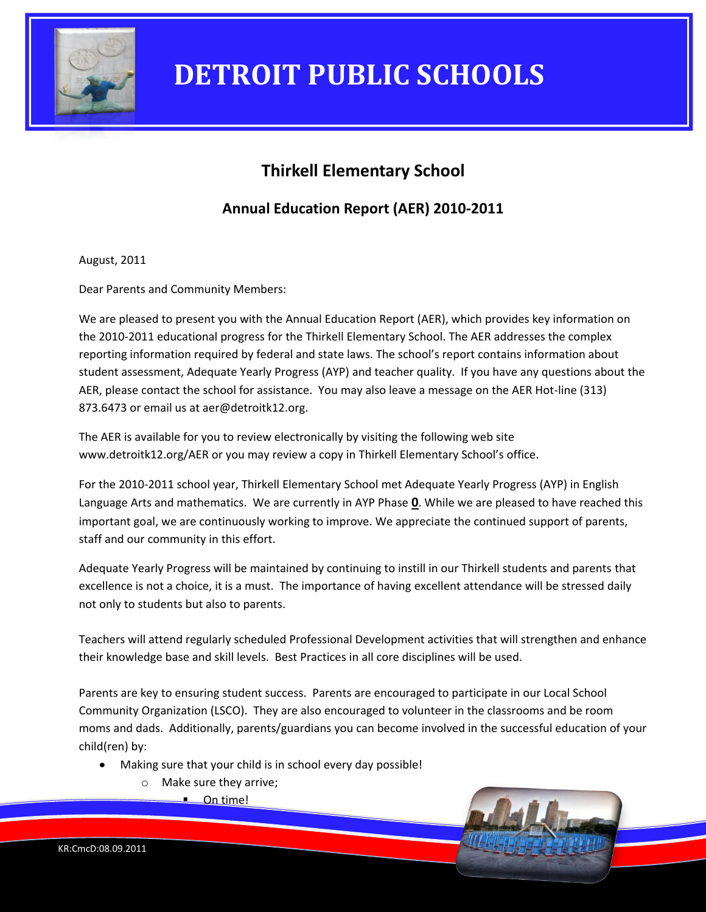

### **Thirkell Elementary School**

### **Annual Education Report (AER) 2010-2011**

August, 2011

Dear Parents and Community Members:

We are pleased to present you with the Annual Education Report (AER), which provides key information on the 2010-2011 educational progress for the Thirkell Elementary School. The AER addresses the complex reporting information required by federal and state laws. The school's report contains information about student assessment, Adequate Yearly Progress (AYP) and teacher quality. If you have any questions about the AER, please contact the school for assistance. You may also leave a message on the AER Hot-line (313) 873.6473 or email us at aer@detroitk12.org.

The AER is available for you to review electronically by visiting the following web site www.detroitk12.org/AER or you may review a copy in Thirkell Elementary School's office.

For the 2010-2011 school year, Thirkell Elementary School met Adequate Yearly Progress (AYP) in English Language Arts and mathematics. We are currently in AYP Phase **0**. While we are pleased to have reached this important goal, we are continuously working to improve. We appreciate the continued support of parents, staff and our community in this effort.

Adequate Yearly Progress will be maintained by continuing to instill in our Thirkell students and parents that excellence is not a choice, it is a must. The importance of having excellent attendance will be stressed daily not only to students but also to parents.

Teachers will attend regularly scheduled Professional Development activities that will strengthen and enhance their knowledge base and skill levels. Best Practices in all core disciplines will be used.

Parents are key to ensuring student success. Parents are encouraged to participate in our Local School Community Organization (LSCO). They are also encouraged to volunteer in the classrooms and be room moms and dads. Additionally, parents/guardians you can become involved in the successful education of your child(ren) by:

- Making sure that your child is in school every day possible!
	- o Make sure they arrive;
		- $\blacksquare$  On time!

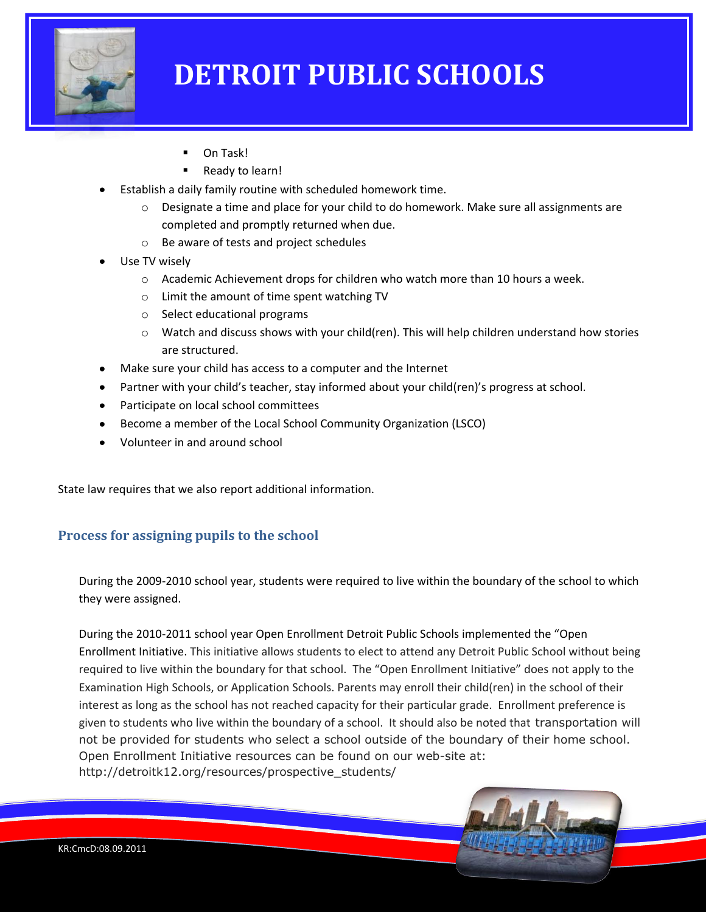

- On Task!
- Ready to learn!
- Establish a daily family routine with scheduled homework time.
	- $\circ$  Designate a time and place for your child to do homework. Make sure all assignments are completed and promptly returned when due.
	- o Be aware of tests and project schedules
- Use TV wisely
	- o Academic Achievement drops for children who watch more than 10 hours a week.
	- o Limit the amount of time spent watching TV
	- o Select educational programs
	- $\circ$  Watch and discuss shows with your child(ren). This will help children understand how stories are structured.
- Make sure your child has access to a computer and the Internet
- Partner with your child's teacher, stay informed about your child(ren)'s progress at school.
- Participate on local school committees
- Become a member of the Local School Community Organization (LSCO)
- Volunteer in and around school

State law requires that we also report additional information.

#### **Process for assigning pupils to the school**

During the 2009-2010 school year, students were required to live within the boundary of the school to which they were assigned.

During the 2010-2011 school year Open Enrollment Detroit Public Schools implemented the "Open Enrollment Initiative. This initiative allows students to elect to attend any Detroit Public School without being required to live within the boundary for that school. The "Open Enrollment Initiative" does not apply to the Examination High Schools, or Application Schools. Parents may enroll their child(ren) in the school of their interest as long as the school has not reached capacity for their particular grade. Enrollment preference is given to students who live within the boundary of a school. It should also be noted that transportation will not be provided for students who select a school outside of the boundary of their home school. Open Enrollment Initiative resources can be found on our web-site at: http://detroitk12.org/resources/prospective\_students/

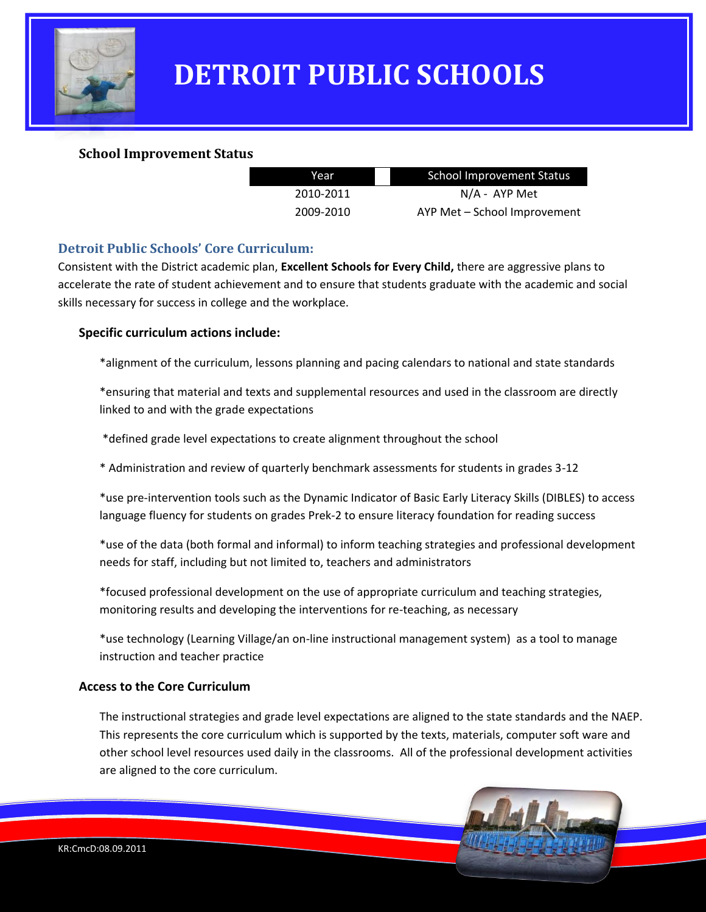

#### **School Improvement Status**

| Year      | School Improvement Status    |
|-----------|------------------------------|
| 2010-2011 | $N/A$ - AYP Met              |
| 2009-2010 | AYP Met - School Improvement |

#### **Detroit Public Schools' Core Curriculum:**

Consistent with the District academic plan, **Excellent Schools for Every Child,** there are aggressive plans to accelerate the rate of student achievement and to ensure that students graduate with the academic and social skills necessary for success in college and the workplace.

#### **Specific curriculum actions include:**

\*alignment of the curriculum, lessons planning and pacing calendars to national and state standards

\*ensuring that material and texts and supplemental resources and used in the classroom are directly linked to and with the grade expectations

\*defined grade level expectations to create alignment throughout the school

\* Administration and review of quarterly benchmark assessments for students in grades 3-12

\*use pre-intervention tools such as the Dynamic Indicator of Basic Early Literacy Skills (DIBLES) to access language fluency for students on grades Prek-2 to ensure literacy foundation for reading success

\*use of the data (both formal and informal) to inform teaching strategies and professional development needs for staff, including but not limited to, teachers and administrators

\*focused professional development on the use of appropriate curriculum and teaching strategies, monitoring results and developing the interventions for re-teaching, as necessary

\*use technology (Learning Village/an on-line instructional management system) as a tool to manage instruction and teacher practice

#### **Access to the Core Curriculum**

The instructional strategies and grade level expectations are aligned to the state standards and the NAEP. This represents the core curriculum which is supported by the texts, materials, computer soft ware and other school level resources used daily in the classrooms. All of the professional development activities are aligned to the core curriculum.

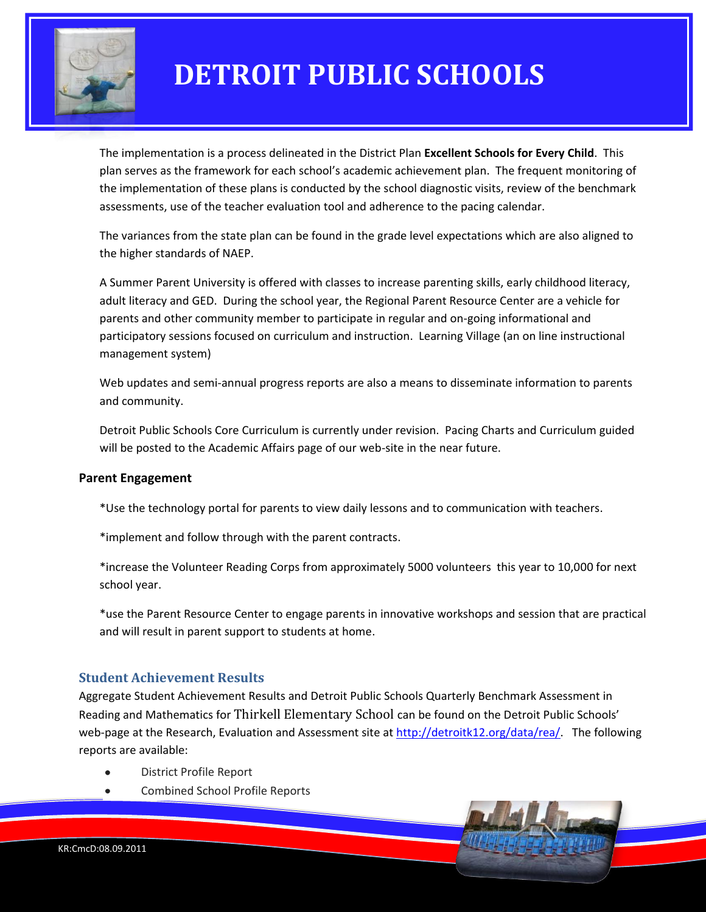

The implementation is a process delineated in the District Plan **Excellent Schools for Every Child**. This plan serves as the framework for each school's academic achievement plan. The frequent monitoring of the implementation of these plans is conducted by the school diagnostic visits, review of the benchmark assessments, use of the teacher evaluation tool and adherence to the pacing calendar.

The variances from the state plan can be found in the grade level expectations which are also aligned to the higher standards of NAEP.

A Summer Parent University is offered with classes to increase parenting skills, early childhood literacy, adult literacy and GED. During the school year, the Regional Parent Resource Center are a vehicle for parents and other community member to participate in regular and on-going informational and participatory sessions focused on curriculum and instruction. Learning Village (an on line instructional management system)

Web updates and semi-annual progress reports are also a means to disseminate information to parents and community.

Detroit Public Schools Core Curriculum is currently under revision. Pacing Charts and Curriculum guided will be posted to the Academic Affairs page of our web-site in the near future.

#### **Parent Engagement**

\*Use the technology portal for parents to view daily lessons and to communication with teachers.

\*implement and follow through with the parent contracts.

\*increase the Volunteer Reading Corps from approximately 5000 volunteers this year to 10,000 for next school year.

\*use the Parent Resource Center to engage parents in innovative workshops and session that are practical and will result in parent support to students at home.

#### **Student Achievement Results**

Aggregate Student Achievement Results and Detroit Public Schools Quarterly Benchmark Assessment in Reading and Mathematics for Thirkell Elementary School can be found on the Detroit Public Schools' web-page at the Research, Evaluation and Assessment site at [http://detroitk12.org/data/rea/.](http://detroitk12.org/data/rea/) The following reports are available:

- District Profile Report
- Combined School Profile Reports